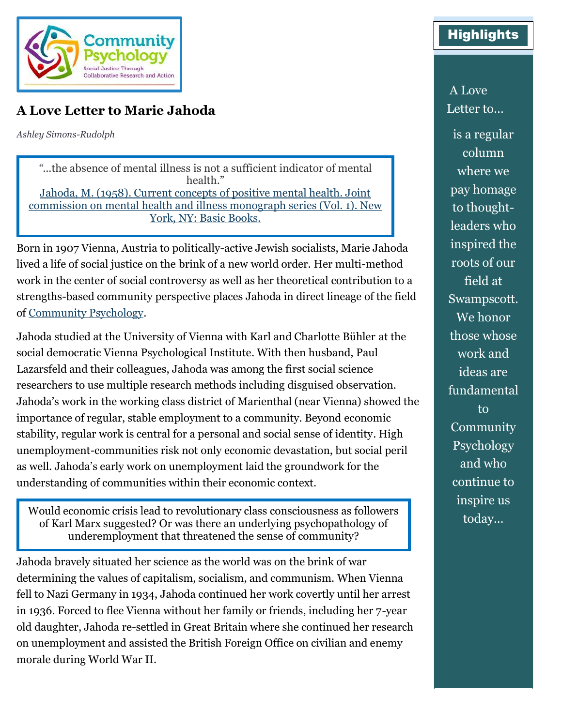

## **A Love Letter to Marie Jahoda**

*Ashley Simons-Rudolph*

*"*...the absence of mental illness is not a sufficient indicator of mental health." [Jahoda, M. \(1958\). Current concepts of positive mental health. Joint](https://psycnet.apa.org/record/2006-20880-000)  commission on mental [health and illness monograph series \(Vol. 1\). New](https://psycnet.apa.org/record/2006-20880-000)  [York, NY: Basic Books.](https://psycnet.apa.org/record/2006-20880-000)

Born in 1907 Vienna, Austria to politically-active Jewish socialists, Marie Jahoda lived a life of social justice on the brink of a new world order. Her multi-method work in the center of social controversy as well as her theoretical contribution to a strengths-based community perspective places Jahoda in direct lineage of the field of [Community Psychology.](https://www.communitypsychology.com/)

Jahoda studied at the University of Vienna with Karl and Charlotte Bühler at the social democratic Vienna Psychological Institute. With then husband, Paul Lazarsfeld and their colleagues, Jahoda was among the first social science researchers to use multiple research methods including disguised observation. Jahoda's work in the working class district of Marienthal (near Vienna) showed the importance of regular, stable employment to a community. Beyond economic stability, regular work is central for a personal and social sense of identity. High unemployment-communities risk not only economic devastation, but social peril as well. Jahoda's early work on unemployment laid the groundwork for the understanding of communities within their economic context.

Would economic crisis lead to revolutionary class consciousness as followers of Karl Marx suggested? Or was there an underlying psychopathology of underemployment that threatened the sense of community?

Jahoda bravely situated her science as the world was on the brink of war determining the values of capitalism, socialism, and communism. When Vienna fell to Nazi Germany in 1934, Jahoda continued her work covertly until her arrest in 1936. Forced to flee Vienna without her family or friends, including her 7-year old daughter, Jahoda re-settled in Great Britain where she continued her research on unemployment and assisted the British Foreign Office on civilian and enemy morale during World War II.

## **Highlights**

A Love Letter to…

is a regular column where we pay homage to thoughtleaders who inspired the roots of our field at Swampscott. We honor those whose work and ideas are fundamental to **Community** Psychology and who continue to inspire us today…